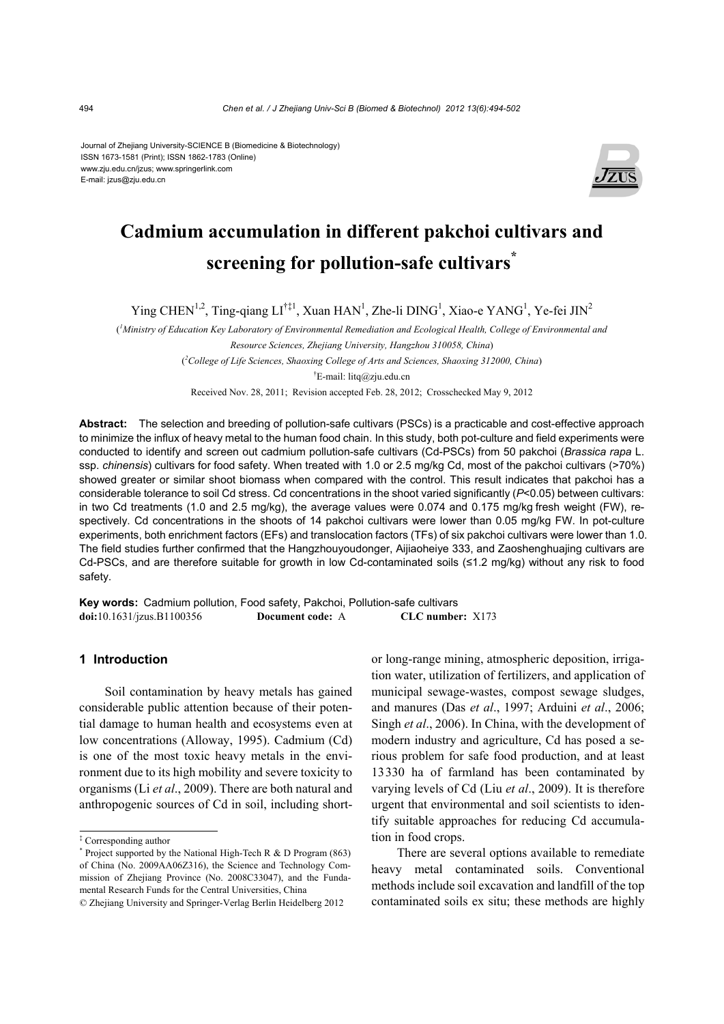Journal of Zhejiang University-SCIENCE B (Biomedicine & Biotechnology) ISSN 1673-1581 (Print); ISSN 1862-1783 (Online) www.zju.edu.cn/jzus; www.springerlink.com E-mail: jzus@zju.edu.cn



# **Cadmium accumulation in different pakchoi cultivars and screening for pollution-safe cultivars\***

Ying CHEN<sup>1,2</sup>, Ting-qiang LI<sup>†‡1</sup>, Xuan HAN<sup>1</sup>, Zhe-li DING<sup>1</sup>, Xiao-e YANG<sup>1</sup>, Ye-fei JIN<sup>2</sup>

 $\ell^1$ Ministry of Education Key Laboratory of Environmental Remediation and Ecological Health, College of Environmental and *Resource Sciences, Zhejiang University, Hangzhou 310058, China*) ( *2 College of Life Sciences, Shaoxing College of Arts and Sciences, Shaoxing 312000, China*) † E-mail: litq@zju.edu.cn

Received Nov. 28, 2011; Revision accepted Feb. 28, 2012; Crosschecked May 9, 2012

**Abstract:** The selection and breeding of pollution-safe cultivars (PSCs) is a practicable and cost-effective approach to minimize the influx of heavy metal to the human food chain. In this study, both pot-culture and field experiments were conducted to identify and screen out cadmium pollution-safe cultivars (Cd-PSCs) from 50 pakchoi (*Brassica rapa* L. ssp. *chinensis*) cultivars for food safety. When treated with 1.0 or 2.5 mg/kg Cd, most of the pakchoi cultivars (>70%) showed greater or similar shoot biomass when compared with the control. This result indicates that pakchoi has a considerable tolerance to soil Cd stress. Cd concentrations in the shoot varied significantly (*P*<0.05) between cultivars: in two Cd treatments (1.0 and 2.5 mg/kg), the average values were 0.074 and 0.175 mg/kg fresh weight (FW), respectively. Cd concentrations in the shoots of 14 pakchoi cultivars were lower than 0.05 mg/kg FW. In pot-culture experiments, both enrichment factors (EFs) and translocation factors (TFs) of six pakchoi cultivars were lower than 1.0. The field studies further confirmed that the Hangzhouyoudonger, Aijiaoheiye 333, and Zaoshenghuajing cultivars are Cd-PSCs, and are therefore suitable for growth in low Cd-contaminated soils (≤1.2 mg/kg) without any risk to food safety.

**Key words:** Cadmium pollution, Food safety, Pakchoi, Pollution-safe cultivars **doi:**10.1631/jzus.B1100356 **Document code:** A **CLC number:** X173

# **1 Introduction**

Soil contamination by heavy metals has gained considerable public attention because of their potential damage to human health and ecosystems even at low concentrations (Alloway, 1995). Cadmium (Cd) is one of the most toxic heavy metals in the environment due to its high mobility and severe toxicity to organisms (Li *et al*., 2009). There are both natural and anthropogenic sources of Cd in soil, including shortor long-range mining, atmospheric deposition, irrigation water, utilization of fertilizers, and application of municipal sewage-wastes, compost sewage sludges, and manures (Das *et al*., 1997; Arduini *et al*., 2006; Singh *et al*., 2006). In China, with the development of modern industry and agriculture, Cd has posed a serious problem for safe food production, and at least 13330 ha of farmland has been contaminated by varying levels of Cd (Liu *et al*., 2009). It is therefore urgent that environmental and soil scientists to identify suitable approaches for reducing Cd accumulation in food crops.

There are several options available to remediate heavy metal contaminated soils. Conventional methods include soil excavation and landfill of the top contaminated soils ex situ; these methods are highly

<sup>‡</sup> Corresponding author

<sup>\*</sup> Project supported by the National High-Tech R & D Program (863) of China (No. 2009AA06Z316), the Science and Technology Commission of Zhejiang Province (No. 2008C33047), and the Fundamental Research Funds for the Central Universities, China

<sup>©</sup> Zhejiang University and Springer-Verlag Berlin Heidelberg 2012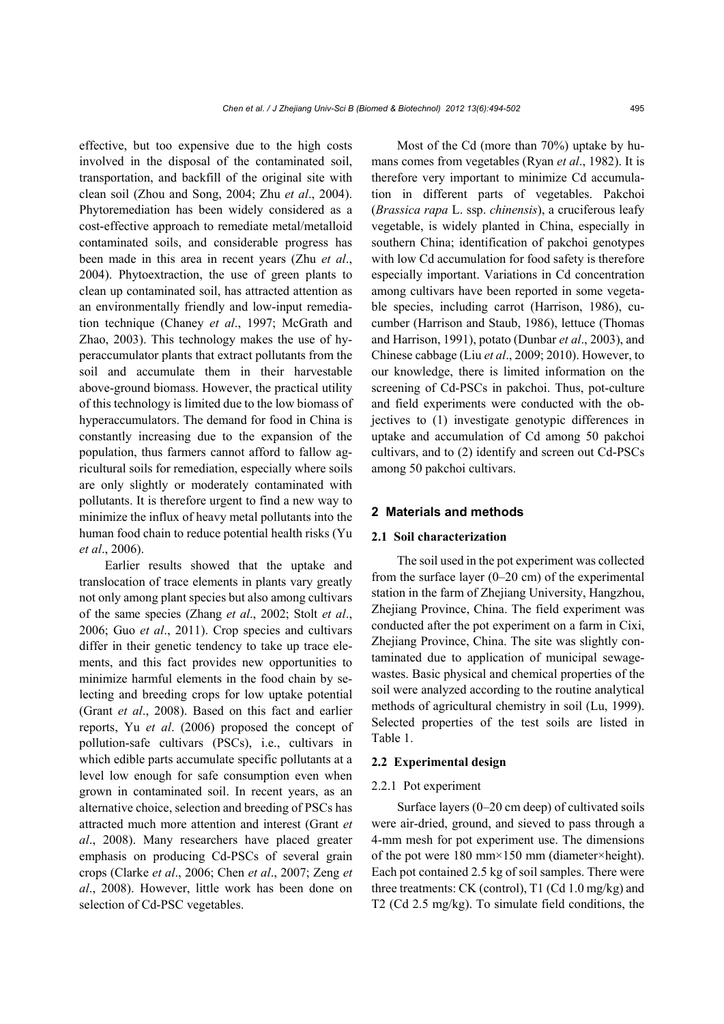effective, but too expensive due to the high costs involved in the disposal of the contaminated soil, transportation, and backfill of the original site with clean soil (Zhou and Song, 2004; Zhu *et al*., 2004). Phytoremediation has been widely considered as a cost-effective approach to remediate metal/metalloid contaminated soils, and considerable progress has been made in this area in recent years (Zhu *et al*., 2004). Phytoextraction, the use of green plants to clean up contaminated soil, has attracted attention as an environmentally friendly and low-input remediation technique (Chaney *et al*., 1997; McGrath and Zhao, 2003). This technology makes the use of hyperaccumulator plants that extract pollutants from the soil and accumulate them in their harvestable above-ground biomass. However, the practical utility of this technology is limited due to the low biomass of hyperaccumulators. The demand for food in China is constantly increasing due to the expansion of the population, thus farmers cannot afford to fallow agricultural soils for remediation, especially where soils are only slightly or moderately contaminated with pollutants. It is therefore urgent to find a new way to minimize the influx of heavy metal pollutants into the human food chain to reduce potential health risks (Yu *et al*., 2006).

Earlier results showed that the uptake and translocation of trace elements in plants vary greatly not only among plant species but also among cultivars of the same species (Zhang *et al*., 2002; Stolt *et al*., 2006; Guo *et al*., 2011). Crop species and cultivars differ in their genetic tendency to take up trace elements, and this fact provides new opportunities to minimize harmful elements in the food chain by selecting and breeding crops for low uptake potential (Grant *et al*., 2008). Based on this fact and earlier reports, Yu *et al*. (2006) proposed the concept of pollution-safe cultivars (PSCs), i.e., cultivars in which edible parts accumulate specific pollutants at a level low enough for safe consumption even when grown in contaminated soil. In recent years, as an alternative choice, selection and breeding of PSCs has attracted much more attention and interest (Grant *et al*., 2008). Many researchers have placed greater emphasis on producing Cd-PSCs of several grain crops (Clarke *et al*., 2006; Chen *et al*., 2007; Zeng *et al*., 2008). However, little work has been done on selection of Cd-PSC vegetables.

Most of the Cd (more than 70%) uptake by humans comes from vegetables (Ryan *et al*., 1982). It is therefore very important to minimize Cd accumulation in different parts of vegetables. Pakchoi (*Brassica rapa* L. ssp. *chinensis*), a cruciferous leafy vegetable, is widely planted in China, especially in southern China; identification of pakchoi genotypes with low Cd accumulation for food safety is therefore especially important. Variations in Cd concentration among cultivars have been reported in some vegetable species, including carrot (Harrison, 1986), cucumber (Harrison and Staub, 1986), lettuce (Thomas and Harrison, 1991), potato (Dunbar *et al*., 2003), and Chinese cabbage (Liu *et al*., 2009; 2010). However, to our knowledge, there is limited information on the screening of Cd-PSCs in pakchoi. Thus, pot-culture and field experiments were conducted with the objectives to (1) investigate genotypic differences in uptake and accumulation of Cd among 50 pakchoi cultivars, and to (2) identify and screen out Cd-PSCs among 50 pakchoi cultivars.

# **2 Materials and methods**

#### **2.1 Soil characterization**

The soil used in the pot experiment was collected from the surface layer  $(0-20 \text{ cm})$  of the experimental station in the farm of Zhejiang University, Hangzhou, Zhejiang Province, China. The field experiment was conducted after the pot experiment on a farm in Cixi, Zhejiang Province, China. The site was slightly contaminated due to application of municipal sewagewastes. Basic physical and chemical properties of the soil were analyzed according to the routine analytical methods of agricultural chemistry in soil (Lu, 1999). Selected properties of the test soils are listed in Table 1.

#### **2.2 Experimental design**

#### 2.2.1 Pot experiment

Surface layers (0–20 cm deep) of cultivated soils were air-dried, ground, and sieved to pass through a 4-mm mesh for pot experiment use. The dimensions of the pot were 180 mm×150 mm (diameter×height). Each pot contained 2.5 kg of soil samples. There were three treatments: CK (control), T1 (Cd 1.0 mg/kg) and T2 (Cd 2.5 mg/kg). To simulate field conditions, the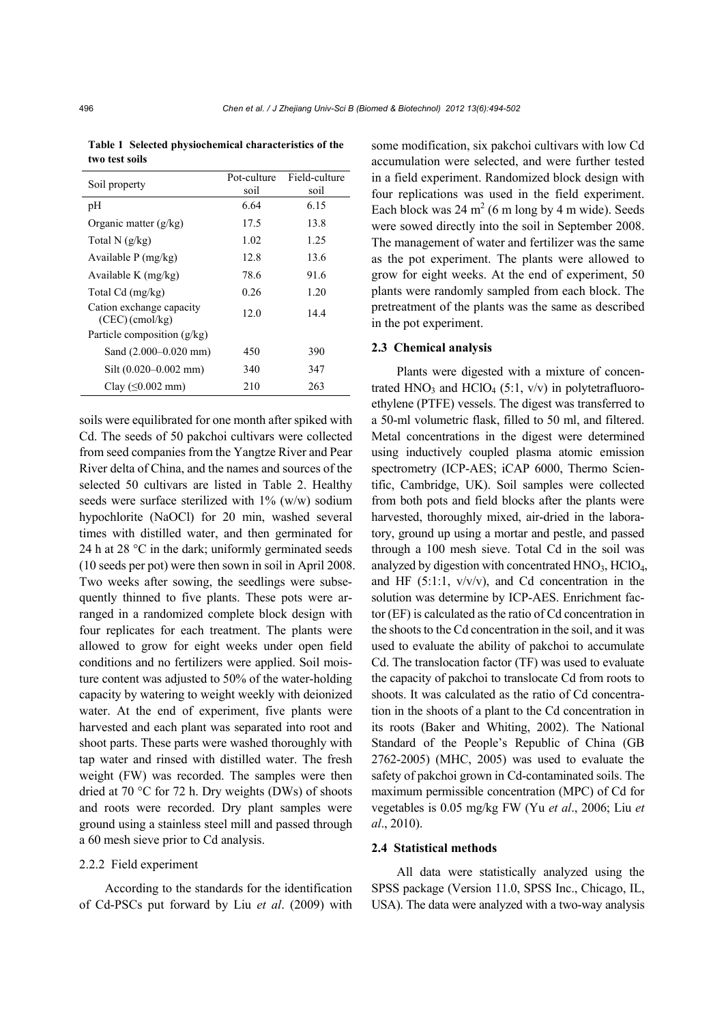| Soil property                                 | Pot-culture<br>soil | Field-culture<br>soil |
|-----------------------------------------------|---------------------|-----------------------|
| pH                                            | 6.64                | 6.15                  |
| Organic matter $(g/kg)$                       | 17.5                | 13.8                  |
| Total $N$ (g/kg)                              | 1.02                | 1.25                  |
| Available $P$ (mg/kg)                         | 12.8                | 13.6                  |
| Available K $(mg/kg)$                         | 78.6                | 91.6                  |
| Total Cd (mg/kg)                              | 0.26                | 1.20                  |
| Cation exchange capacity<br>$(CEC)$ (cmol/kg) | 12.0                | 14.4                  |
| Particle composition $(g/kg)$                 |                     |                       |
| Sand (2.000–0.020 mm)                         | 450                 | 390                   |
| Silt $(0.020-0.002$ mm)                       | 340                 | 347                   |
| Clay $(\leq 0.002$ mm)                        | 210                 | 263                   |

soils were equilibrated for one month after spiked with Cd. The seeds of 50 pakchoi cultivars were collected from seed companies from the Yangtze River and Pear River delta of China, and the names and sources of the selected 50 cultivars are listed in Table 2. Healthy seeds were surface sterilized with  $1\%$  (w/w) sodium hypochlorite (NaOCl) for 20 min, washed several times with distilled water, and then germinated for 24 h at 28 °C in the dark; uniformly germinated seeds (10 seeds per pot) were then sown in soil in April 2008. Two weeks after sowing, the seedlings were subsequently thinned to five plants. These pots were arranged in a randomized complete block design with four replicates for each treatment. The plants were allowed to grow for eight weeks under open field conditions and no fertilizers were applied. Soil moisture content was adjusted to 50% of the water-holding capacity by watering to weight weekly with deionized water. At the end of experiment, five plants were harvested and each plant was separated into root and shoot parts. These parts were washed thoroughly with tap water and rinsed with distilled water. The fresh weight (FW) was recorded. The samples were then dried at 70 °C for 72 h. Dry weights (DWs) of shoots and roots were recorded. Dry plant samples were ground using a stainless steel mill and passed through a 60 mesh sieve prior to Cd analysis.

# 2.2.2 Field experiment

According to the standards for the identification of Cd-PSCs put forward by Liu *et al*. (2009) with some modification, six pakchoi cultivars with low Cd accumulation were selected, and were further tested in a field experiment. Randomized block design with four replications was used in the field experiment. Each block was  $24 \text{ m}^2$  (6 m long by 4 m wide). Seeds were sowed directly into the soil in September 2008. The management of water and fertilizer was the same as the pot experiment. The plants were allowed to grow for eight weeks. At the end of experiment, 50 plants were randomly sampled from each block. The pretreatment of the plants was the same as described in the pot experiment.

### **2.3 Chemical analysis**

Plants were digested with a mixture of concentrated HNO<sub>3</sub> and HClO<sub>4</sub> (5:1, v/v) in polytetrafluoroethylene (PTFE) vessels. The digest was transferred to a 50-ml volumetric flask, filled to 50 ml, and filtered. Metal concentrations in the digest were determined using inductively coupled plasma atomic emission spectrometry (ICP-AES; iCAP 6000, Thermo Scientific, Cambridge, UK). Soil samples were collected from both pots and field blocks after the plants were harvested, thoroughly mixed, air-dried in the laboratory, ground up using a mortar and pestle, and passed through a 100 mesh sieve. Total Cd in the soil was analyzed by digestion with concentrated  $HNO<sub>3</sub>$ ,  $HClO<sub>4</sub>$ , and HF  $(5:1:1, v/v/v)$ , and Cd concentration in the solution was determine by ICP-AES. Enrichment factor (EF) is calculated as the ratio of Cd concentration in the shoots to the Cd concentration in the soil, and it was used to evaluate the ability of pakchoi to accumulate Cd. The translocation factor (TF) was used to evaluate the capacity of pakchoi to translocate Cd from roots to shoots. It was calculated as the ratio of Cd concentration in the shoots of a plant to the Cd concentration in its roots (Baker and Whiting, 2002). The National Standard of the People's Republic of China (GB 2762-2005) (MHC, 2005) was used to evaluate the safety of pakchoi grown in Cd-contaminated soils. The maximum permissible concentration (MPC) of Cd for vegetables is 0.05 mg/kg FW (Yu *et al*., 2006; Liu *et al*., 2010).

#### **2.4 Statistical methods**

All data were statistically analyzed using the SPSS package (Version 11.0, SPSS Inc., Chicago, IL, USA). The data were analyzed with a two-way analysis

**Table 1 Selected physiochemical characteristics of the two test soils**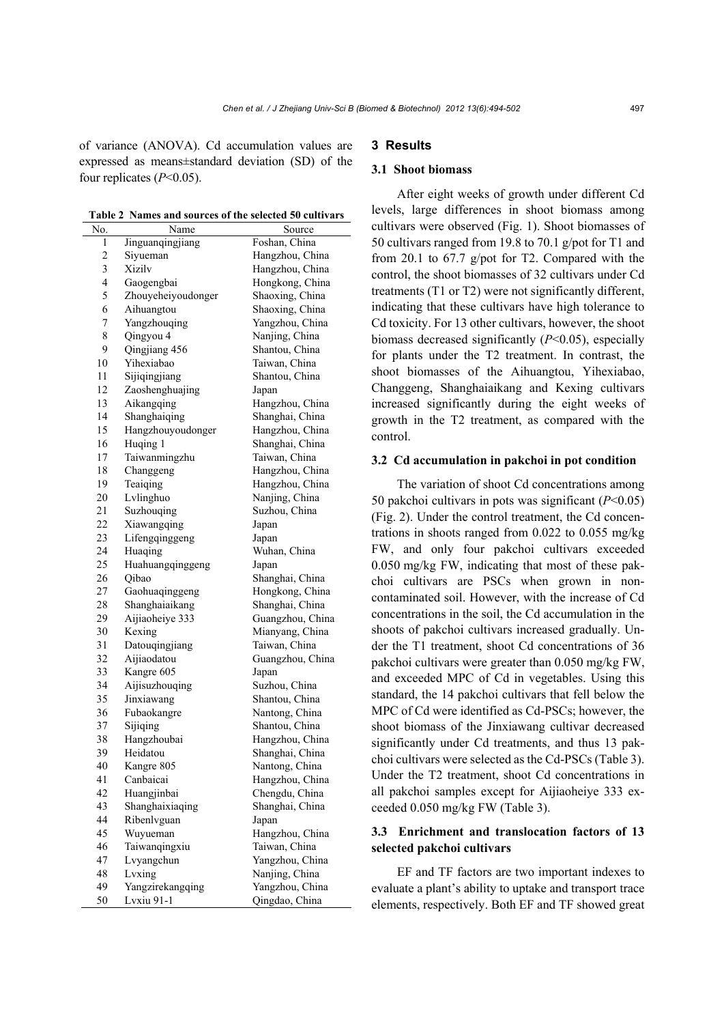of variance (ANOVA). Cd accumulation values are expressed as means±standard deviation (SD) of the four replicates (*P*<0.05).

**Table 2 Names and sources of the selected 50 cultivars** 

| No.                      | Name                 | Source           |
|--------------------------|----------------------|------------------|
| $\mathbf{1}$             | Jinguanqingjiang     | Foshan, China    |
| $\overline{c}$           | Siyueman             | Hangzhou, China  |
| 3                        | Xizilv               | Hangzhou, China  |
| $\overline{\mathcal{L}}$ | Gaogengbai           | Hongkong, China  |
| 5                        | Zhouyeheiyoudonger   | Shaoxing, China  |
| 6                        | Aihuangtou           | Shaoxing, China  |
| 7                        | Yangzhouqing         | Yangzhou, China  |
| 8                        | Qingyou 4            | Nanjing, China   |
| 9                        | Qingjiang 456        | Shantou, China   |
| 10                       | Yihexiabao           | Taiwan, China    |
| 11                       | Sijiqingjiang        | Shantou, China   |
| 12                       | Zaoshenghuajing      | Japan            |
| 13                       | Aikangqing           | Hangzhou, China  |
| 14                       | Shanghaiqing         | Shanghai, China  |
| 15                       | Hangzhouyoudonger    | Hangzhou, China  |
| 16                       | Huqing 1             | Shanghai, China  |
|                          |                      |                  |
| 17                       | Taiwanmingzhu        | Taiwan, China    |
| 18                       | Changgeng            | Hangzhou, China  |
| 19                       | Teaiqing             | Hangzhou, China  |
| 20                       | Lvlinghuo            | Nanjing, China   |
| 21                       | Suzhouqing           | Suzhou, China    |
| 22                       | Xiawangqing          | Japan            |
| 23                       | Lifengqinggeng       | Japan            |
| 24                       | Huaqing              | Wuhan, China     |
| 25                       | Huahuangqinggeng     | Japan            |
| 26                       | Qibao                | Shanghai, China  |
| 27                       | Gaohuaqinggeng       | Hongkong, China  |
| 28                       | Shanghaiaikang       | Shanghai, China  |
| 29                       | Aijiaoheiye 333      | Guangzhou, China |
| 30                       | Kexing               | Mianyang, China  |
| 31                       | Datouqingjiang       | Taiwan, China    |
| 32                       | Aijiaodatou          | Guangzhou, China |
| 33                       | Kangre 605           | Japan            |
| 34                       | Aijisuzhouqing       | Suzhou, China    |
| 35                       | Jinxiawang           | Shantou, China   |
| 36                       | Fubaokangre          | Nantong, China   |
| 37                       | Sijiqing             | Shantou, China   |
| 38                       | Hangzhoubai          | Hangzhou, China  |
| 39                       | Heidatou             | Shanghai, China  |
| 40                       | Kangre 805           | Nantong, China   |
| 41                       | Canbaicai            | Hangzhou, China  |
| 42                       | Huangjinbai          | Chengdu, China   |
| 43                       | Shanghaixiaqing      | Shanghai, China  |
| 44                       | Ribenlvguan          | Japan            |
| 45                       | Wuyueman             | Hangzhou, China  |
| 46                       | Taiwanqingxiu        | Taiwan, China    |
| 47                       |                      |                  |
| 48                       | Lvyangchun<br>Lvxing | Yangzhou, China  |
|                          |                      | Nanjing, China   |
| 49                       | Yangzirekangqing     | Yangzhou, China  |
| 50                       | Lvxiu 91-1           | Qingdao, China   |

# **3 Results**

### **3.1 Shoot biomass**

After eight weeks of growth under different Cd levels, large differences in shoot biomass among cultivars were observed (Fig. 1). Shoot biomasses of 50 cultivars ranged from 19.8 to 70.1 g/pot for T1 and from 20.1 to 67.7 g/pot for T2. Compared with the control, the shoot biomasses of 32 cultivars under Cd treatments (T1 or T2) were not significantly different, indicating that these cultivars have high tolerance to Cd toxicity. For 13 other cultivars, however, the shoot biomass decreased significantly (*P*<0.05), especially for plants under the T2 treatment. In contrast, the shoot biomasses of the Aihuangtou, Yihexiabao, Changgeng, Shanghaiaikang and Kexing cultivars increased significantly during the eight weeks of growth in the T2 treatment, as compared with the control.

# **3.2 Cd accumulation in pakchoi in pot condition**

The variation of shoot Cd concentrations among 50 pakchoi cultivars in pots was significant (*P*<0.05) (Fig. 2). Under the control treatment, the Cd concentrations in shoots ranged from 0.022 to 0.055 mg/kg FW, and only four pakchoi cultivars exceeded 0.050 mg/kg FW, indicating that most of these pakchoi cultivars are PSCs when grown in noncontaminated soil. However, with the increase of Cd concentrations in the soil, the Cd accumulation in the shoots of pakchoi cultivars increased gradually. Under the T1 treatment, shoot Cd concentrations of 36 pakchoi cultivars were greater than 0.050 mg/kg FW, and exceeded MPC of Cd in vegetables. Using this standard, the 14 pakchoi cultivars that fell below the MPC of Cd were identified as Cd-PSCs; however, the shoot biomass of the Jinxiawang cultivar decreased significantly under Cd treatments, and thus 13 pakchoi cultivars were selected as the Cd-PSCs (Table 3). Under the T2 treatment, shoot Cd concentrations in all pakchoi samples except for Aijiaoheiye 333 exceeded 0.050 mg/kg FW (Table 3).

# **3.3 Enrichment and translocation factors of 13 selected pakchoi cultivars**

EF and TF factors are two important indexes to evaluate a plant's ability to uptake and transport trace elements, respectively. Both EF and TF showed great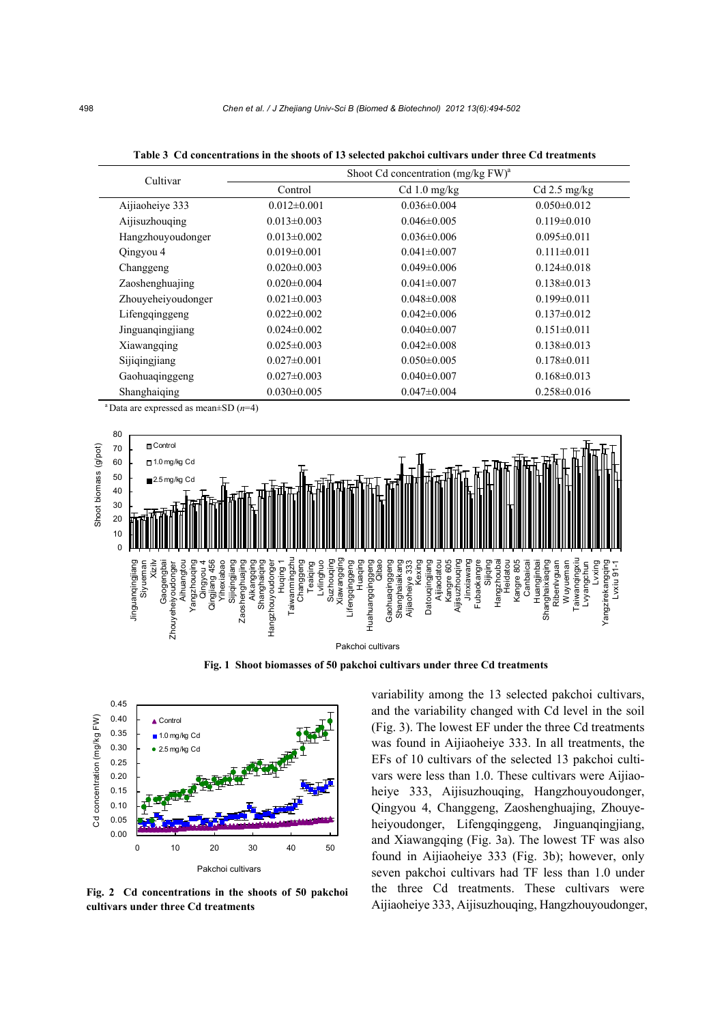| Cultivar           | Shoot Cd concentration $(mg/kgFW)^{a}$ |                   |                   |
|--------------------|----------------------------------------|-------------------|-------------------|
|                    | Control                                | $Cd 1.0$ mg/kg    | $Cd$ 2.5 mg/kg    |
| Aijiaoheiye 333    | $0.012 \pm 0.001$                      | $0.036 \pm 0.004$ | $0.050 \pm 0.012$ |
| Aijisuzhouqing     | $0.013 \pm 0.003$                      | $0.046 \pm 0.005$ | $0.119 \pm 0.010$ |
| Hangzhouyoudonger  | $0.013 \pm 0.002$                      | $0.036 \pm 0.006$ | $0.095 \pm 0.011$ |
| Qingyou 4          | $0.019 \pm 0.001$                      | $0.041 \pm 0.007$ | $0.111 \pm 0.011$ |
| Changgeng          | $0.020 \pm 0.003$                      | $0.049 \pm 0.006$ | $0.124 \pm 0.018$ |
| Zaoshenghuajing    | $0.020 \pm 0.004$                      | $0.041 \pm 0.007$ | $0.138 \pm 0.013$ |
| Zhouyeheiyoudonger | $0.021 \pm 0.003$                      | $0.048 \pm 0.008$ | $0.199 \pm 0.011$ |
| Lifengginggeng     | $0.022 \pm 0.002$                      | $0.042 \pm 0.006$ | $0.137 \pm 0.012$ |
| Jinguanqingjiang   | $0.024 \pm 0.002$                      | $0.040 \pm 0.007$ | $0.151 \pm 0.011$ |
| Xiawangqing        | $0.025 \pm 0.003$                      | $0.042 \pm 0.008$ | $0.138 \pm 0.013$ |
| Sijiqingjiang      | $0.027 \pm 0.001$                      | $0.050\pm0.005$   | $0.178 \pm 0.011$ |
| Gaohuaqinggeng     | $0.027 \pm 0.003$                      | $0.040 \pm 0.007$ | $0.168 \pm 0.013$ |
| Shanghaiging       | $0.030 \pm 0.005$                      | $0.047 \pm 0.004$ | $0.258 \pm 0.016$ |

**Table 3 Cd concentrations in the shoots of 13 selected pakchoi cultivars under three Cd treatments** 

<sup>a</sup> Data are expressed as mean $\pm$ SD ( $n$ =4)



**Fig. 1 Shoot biomasses of 50 pakchoi cultivars under three Cd treatments** 



**Fig. 2 Cd concentrations in the shoots of 50 pakchoi cultivars under three Cd treatments**

variability among the 13 selected pakchoi cultivars, and the variability changed with Cd level in the soil (Fig. 3). The lowest EF under the three Cd treatments was found in Aijiaoheiye 333. In all treatments, the EFs of 10 cultivars of the selected 13 pakchoi cultivars were less than 1.0. These cultivars were Aijiaoheiye 333, Aijisuzhouqing, Hangzhouyoudonger, Qingyou 4, Changgeng, Zaoshenghuajing, Zhouyeheiyoudonger, Lifengqinggeng, Jinguanqingjiang, and Xiawangqing (Fig. 3a). The lowest TF was also found in Aijiaoheiye 333 (Fig. 3b); however, only seven pakchoi cultivars had TF less than 1.0 under the three Cd treatments. These cultivars were Aijiaoheiye 333, Aijisuzhouqing, Hangzhouyoudonger,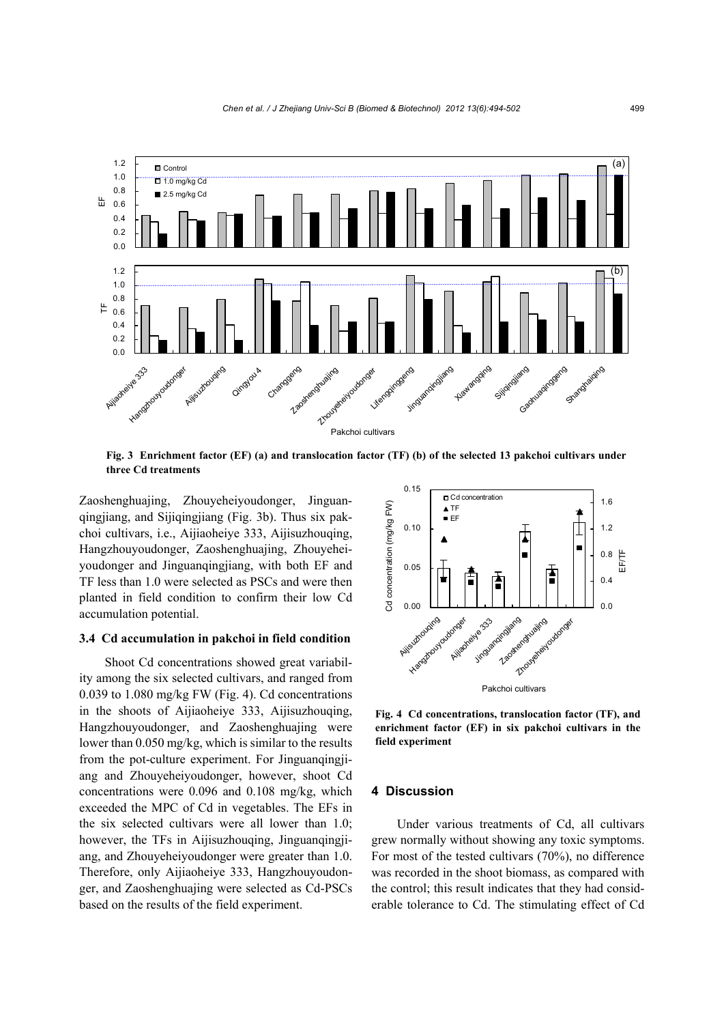

**Fig. 3 Enrichment factor (EF) (a) and translocation factor (TF) (b) of the selected 13 pakchoi cultivars under three Cd treatments** 

Zaoshenghuajing, Zhouyeheiyoudonger, Jinguanqingjiang, and Sijiqingjiang (Fig. 3b). Thus six pakchoi cultivars, i.e., Aijiaoheiye 333, Aijisuzhouqing, Hangzhouyoudonger, Zaoshenghuajing, Zhouyeheiyoudonger and Jinguanqingjiang, with both EF and TF less than 1.0 were selected as PSCs and were then planted in field condition to confirm their low Cd accumulation potential.

### **3.4 Cd accumulation in pakchoi in field condition**

Shoot Cd concentrations showed great variability among the six selected cultivars, and ranged from 0.039 to 1.080 mg/kg FW (Fig. 4). Cd concentrations in the shoots of Aijiaoheiye 333, Aijisuzhouqing, Hangzhouyoudonger, and Zaoshenghuajing were lower than 0.050 mg/kg, which is similar to the results from the pot-culture experiment. For Jinguanqingjiang and Zhouyeheiyoudonger, however, shoot Cd concentrations were 0.096 and 0.108 mg/kg, which exceeded the MPC of Cd in vegetables. The EFs in the six selected cultivars were all lower than 1.0; however, the TFs in Aijisuzhouqing, Jinguanqingjiang, and Zhouyeheiyoudonger were greater than 1.0. Therefore, only Aijiaoheiye 333, Hangzhouyoudonger, and Zaoshenghuajing were selected as Cd-PSCs based on the results of the field experiment.



**Fig. 4 Cd concentrations, translocation factor (TF), and enrichment factor (EF) in six pakchoi cultivars in the field experiment**

# **4 Discussion**

Under various treatments of Cd, all cultivars grew normally without showing any toxic symptoms. For most of the tested cultivars (70%), no difference was recorded in the shoot biomass, as compared with the control; this result indicates that they had considerable tolerance to Cd. The stimulating effect of Cd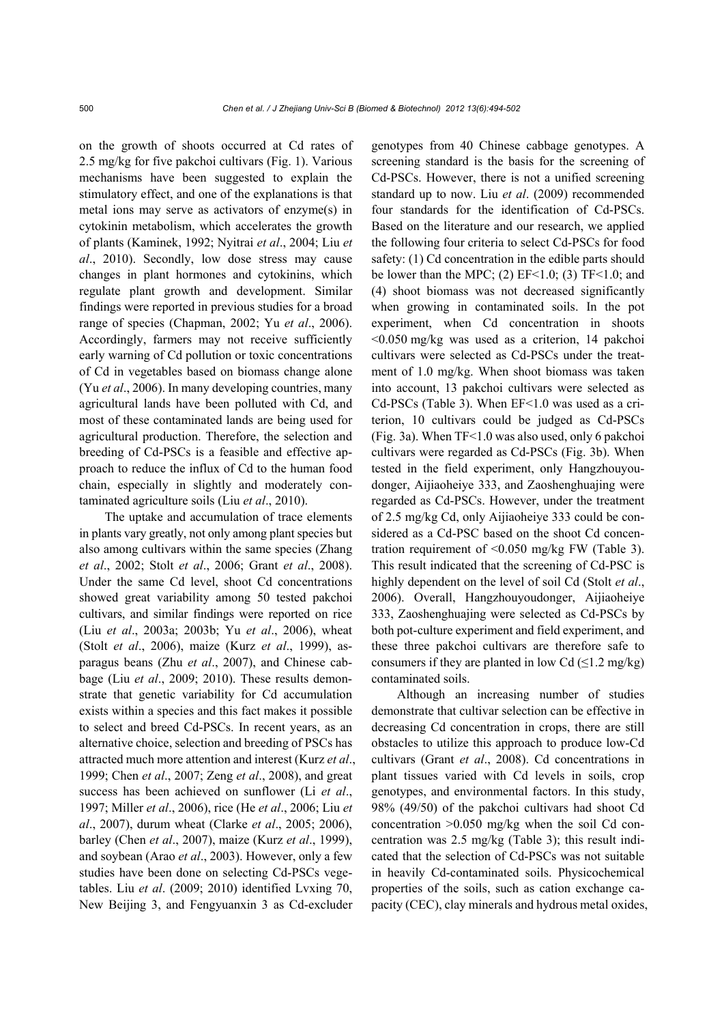on the growth of shoots occurred at Cd rates of 2.5 mg/kg for five pakchoi cultivars (Fig. 1). Various mechanisms have been suggested to explain the stimulatory effect, and one of the explanations is that metal ions may serve as activators of enzyme(s) in cytokinin metabolism, which accelerates the growth of plants (Kaminek, 1992; Nyitrai *et al*., 2004; Liu *et al*., 2010). Secondly, low dose stress may cause changes in plant hormones and cytokinins, which regulate plant growth and development. Similar findings were reported in previous studies for a broad range of species (Chapman, 2002; Yu *et al*., 2006). Accordingly, farmers may not receive sufficiently early warning of Cd pollution or toxic concentrations of Cd in vegetables based on biomass change alone (Yu *et al*., 2006). In many developing countries, many agricultural lands have been polluted with Cd, and most of these contaminated lands are being used for agricultural production. Therefore, the selection and breeding of Cd-PSCs is a feasible and effective approach to reduce the influx of Cd to the human food chain, especially in slightly and moderately contaminated agriculture soils (Liu *et al*., 2010).

The uptake and accumulation of trace elements in plants vary greatly, not only among plant species but also among cultivars within the same species (Zhang *et al*., 2002; Stolt *et al*., 2006; Grant *et al*., 2008). Under the same Cd level, shoot Cd concentrations showed great variability among 50 tested pakchoi cultivars, and similar findings were reported on rice (Liu *et al*., 2003a; 2003b; Yu *et al*., 2006), wheat (Stolt *et al*., 2006), maize (Kurz *et al*., 1999), asparagus beans (Zhu *et al*., 2007), and Chinese cabbage (Liu *et al*., 2009; 2010). These results demonstrate that genetic variability for Cd accumulation exists within a species and this fact makes it possible to select and breed Cd-PSCs. In recent years, as an alternative choice, selection and breeding of PSCs has attracted much more attention and interest (Kurz *et al*., 1999; Chen *et al*., 2007; Zeng *et al*., 2008), and great success has been achieved on sunflower (Li *et al*., 1997; Miller *et al*., 2006), rice (He *et al*., 2006; Liu *et al*., 2007), durum wheat (Clarke *et al*., 2005; 2006), barley (Chen *et al*., 2007), maize (Kurz *et al*., 1999), and soybean (Arao *et al*., 2003). However, only a few studies have been done on selecting Cd-PSCs vegetables. Liu *et al*. (2009; 2010) identified Lvxing 70, New Beijing 3, and Fengyuanxin 3 as Cd-excluder genotypes from 40 Chinese cabbage genotypes. A screening standard is the basis for the screening of Cd-PSCs. However, there is not a unified screening standard up to now. Liu *et al*. (2009) recommended four standards for the identification of Cd-PSCs. Based on the literature and our research, we applied the following four criteria to select Cd-PSCs for food safety: (1) Cd concentration in the edible parts should be lower than the MPC; (2)  $EF<1.0$ ; (3)  $TF<1.0$ ; and (4) shoot biomass was not decreased significantly when growing in contaminated soils. In the pot experiment, when Cd concentration in shoots <0.050 mg/kg was used as a criterion, 14 pakchoi cultivars were selected as Cd-PSCs under the treatment of 1.0 mg/kg. When shoot biomass was taken into account, 13 pakchoi cultivars were selected as Cd-PSCs (Table 3). When EF<1.0 was used as a criterion, 10 cultivars could be judged as Cd-PSCs (Fig. 3a). When TF<1.0 was also used, only 6 pakchoi cultivars were regarded as Cd-PSCs (Fig. 3b). When tested in the field experiment, only Hangzhouyoudonger, Aijiaoheiye 333, and Zaoshenghuajing were regarded as Cd-PSCs. However, under the treatment of 2.5 mg/kg Cd, only Aijiaoheiye 333 could be considered as a Cd-PSC based on the shoot Cd concentration requirement of <0.050 mg/kg FW (Table 3). This result indicated that the screening of Cd-PSC is highly dependent on the level of soil Cd (Stolt *et al*., 2006). Overall, Hangzhouyoudonger, Aijiaoheiye 333, Zaoshenghuajing were selected as Cd-PSCs by both pot-culture experiment and field experiment, and these three pakchoi cultivars are therefore safe to consumers if they are planted in low Cd  $(\leq 1.2 \text{ mg/kg})$ contaminated soils.

Although an increasing number of studies demonstrate that cultivar selection can be effective in decreasing Cd concentration in crops, there are still obstacles to utilize this approach to produce low-Cd cultivars (Grant *et al*., 2008). Cd concentrations in plant tissues varied with Cd levels in soils, crop genotypes, and environmental factors. In this study, 98% (49/50) of the pakchoi cultivars had shoot Cd concentration >0.050 mg/kg when the soil Cd concentration was 2.5 mg/kg (Table 3); this result indicated that the selection of Cd-PSCs was not suitable in heavily Cd-contaminated soils. Physicochemical properties of the soils, such as cation exchange capacity (CEC), clay minerals and hydrous metal oxides,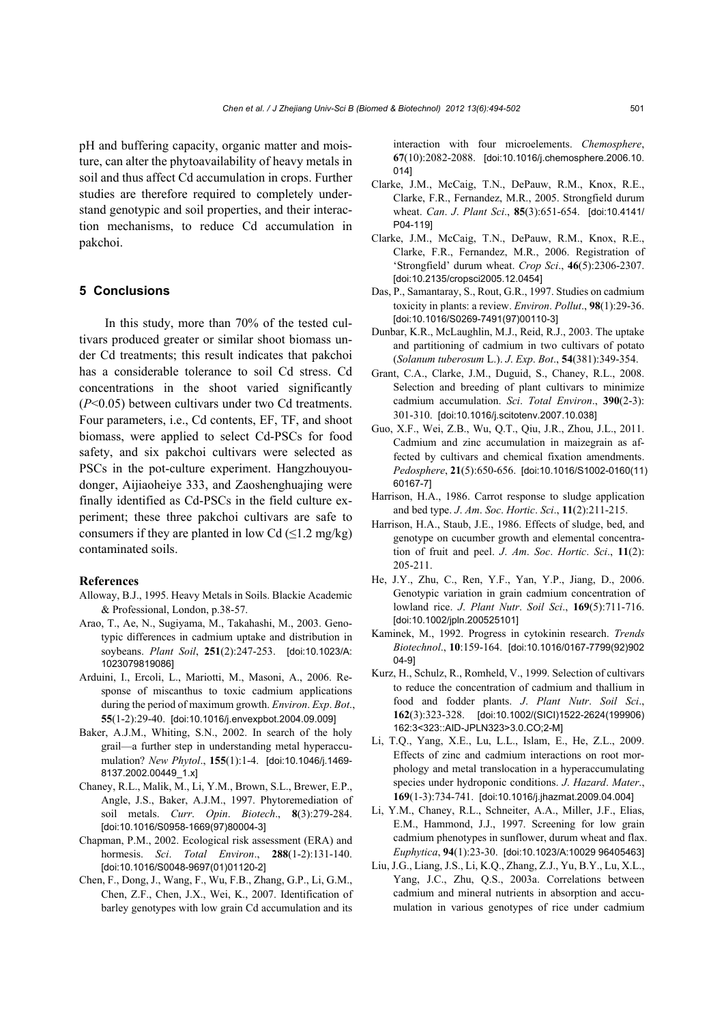pH and buffering capacity, organic matter and moisture, can alter the phytoavailability of heavy metals in soil and thus affect Cd accumulation in crops. Further studies are therefore required to completely understand genotypic and soil properties, and their interaction mechanisms, to reduce Cd accumulation in pakchoi.

# **5 Conclusions**

In this study, more than 70% of the tested cultivars produced greater or similar shoot biomass under Cd treatments; this result indicates that pakchoi has a considerable tolerance to soil Cd stress. Cd concentrations in the shoot varied significantly (*P*<0.05) between cultivars under two Cd treatments. Four parameters, i.e., Cd contents, EF, TF, and shoot biomass, were applied to select Cd-PSCs for food safety, and six pakchoi cultivars were selected as PSCs in the pot-culture experiment. Hangzhouyoudonger, Aijiaoheiye 333, and Zaoshenghuajing were finally identified as Cd-PSCs in the field culture experiment; these three pakchoi cultivars are safe to consumers if they are planted in low Cd  $(\leq 1.2 \text{ mg/kg})$ contaminated soils.

# **References**

- Alloway, B.J., 1995. Heavy Metals in Soils. Blackie Academic & Professional, London, p.38-57.
- Arao, T., Ae, N., Sugiyama, M., Takahashi, M., 2003. Genotypic differences in cadmium uptake and distribution in soybeans. *Plant Soil*, **251**(2):247-253. [doi:10.1023/A: 1023079819086]
- Arduini, I., Ercoli, L., Mariotti, M., Masoni, A., 2006. Response of miscanthus to toxic cadmium applications during the period of maximum growth. *Environ*. *Exp*. *Bot*., **55**(1-2):29-40. [doi:10.1016/j.envexpbot.2004.09.009]
- Baker, A.J.M., Whiting, S.N., 2002. In search of the holy grail—a further step in understanding metal hyperaccumulation? *New Phytol*., **155**(1):1-4. [doi:10.1046/j.1469- 8137.2002.00449\_1.x]
- Chaney, R.L., Malik, M., Li, Y.M., Brown, S.L., Brewer, E.P., Angle, J.S., Baker, A.J.M., 1997. Phytoremediation of soil metals. *Curr*. *Opin*. *Biotech*., **8**(3):279-284. [doi:10.1016/S0958-1669(97)80004-3]
- Chapman, P.M., 2002. Ecological risk assessment (ERA) and hormesis. *Sci*. *Total Environ*., **288**(1-2):131-140. [doi:10.1016/S0048-9697(01)01120-2]
- Chen, F., Dong, J., Wang, F., Wu, F.B., Zhang, G.P., Li, G.M., Chen, Z.F., Chen, J.X., Wei, K., 2007. Identification of barley genotypes with low grain Cd accumulation and its

interaction with four microelements. *Chemosphere*, **67**(10):2082-2088. [doi:10.1016/j.chemosphere.2006.10. 014]

- Clarke, J.M., McCaig, T.N., DePauw, R.M., Knox, R.E., Clarke, F.R., Fernandez, M.R., 2005. Strongfield durum wheat. *Can*. *J*. *Plant Sci*., **85**(3):651-654. [doi:10.4141/ P04-119]
- Clarke, J.M., McCaig, T.N., DePauw, R.M., Knox, R.E., Clarke, F.R., Fernandez, M.R., 2006. Registration of 'Strongfield' durum wheat. *Crop Sci*., **46**(5):2306-2307. [doi:10.2135/cropsci2005.12.0454]
- Das, P., Samantaray, S., Rout, G.R., 1997. Studies on cadmium toxicity in plants: a review. *Environ*. *Pollut*., **98**(1):29-36. [doi:10.1016/S0269-7491(97)00110-3]
- Dunbar, K.R., McLaughlin, M.J., Reid, R.J., 2003. The uptake and partitioning of cadmium in two cultivars of potato (*Solanum tuberosum* L.). *J*. *Exp*. *Bot*., **54**(381):349-354.
- Grant, C.A., Clarke, J.M., Duguid, S., Chaney, R.L., 2008. Selection and breeding of plant cultivars to minimize cadmium accumulation. *Sci*. *Total Environ*., **390**(2-3): 301-310. [doi:10.1016/j.scitotenv.2007.10.038]
- Guo, X.F., Wei, Z.B., Wu, Q.T., Qiu, J.R., Zhou, J.L., 2011. Cadmium and zinc accumulation in maizegrain as affected by cultivars and chemical fixation amendments. *Pedosphere*, **21**(5):650-656. [doi:10.1016/S1002-0160(11) 60167-7]
- Harrison, H.A., 1986. Carrot response to sludge application and bed type. *J*. *Am*. *Soc*. *Hortic*. *Sci*., **11**(2):211-215.
- Harrison, H.A., Staub, J.E., 1986. Effects of sludge, bed, and genotype on cucumber growth and elemental concentration of fruit and peel. *J*. *Am*. *Soc*. *Hortic*. *Sci*., **11**(2): 205-211.
- He, J.Y., Zhu, C., Ren, Y.F., Yan, Y.P., Jiang, D., 2006. Genotypic variation in grain cadmium concentration of lowland rice. *J*. *Plant Nutr*. *Soil Sci*., **169**(5):711-716. [doi:10.1002/jpln.200525101]
- Kaminek, M., 1992. Progress in cytokinin research. *Trends Biotechnol*., **10**:159-164. [doi:10.1016/0167-7799(92)902 04-9]
- Kurz, H., Schulz, R., Romheld, V., 1999. Selection of cultivars to reduce the concentration of cadmium and thallium in food and fodder plants. *J*. *Plant Nutr*. *Soil Sci*., **162**(3):323-328. [doi:10.1002/(SICI)1522-2624(199906) 162:3<323::AID-JPLN323>3.0.CO;2-M]
- Li, T.Q., Yang, X.E., Lu, L.L., Islam, E., He, Z.L., 2009. Effects of zinc and cadmium interactions on root morphology and metal translocation in a hyperaccumulating species under hydroponic conditions. *J*. *Hazard*. *Mater*., **169**(1-3):734-741. [doi:10.1016/j.jhazmat.2009.04.004]
- Li, Y.M., Chaney, R.L., Schneiter, A.A., Miller, J.F., Elias, E.M., Hammond, J.J., 1997. Screening for low grain cadmium phenotypes in sunflower, durum wheat and flax. *Euphytica*, **94**(1):23-30. [doi:10.1023/A:10029 96405463]
- Liu, J.G., Liang, J.S., Li, K.Q., Zhang, Z.J., Yu, B.Y., Lu, X.L., Yang, J.C., Zhu, Q.S., 2003a. Correlations between cadmium and mineral nutrients in absorption and accumulation in various genotypes of rice under cadmium